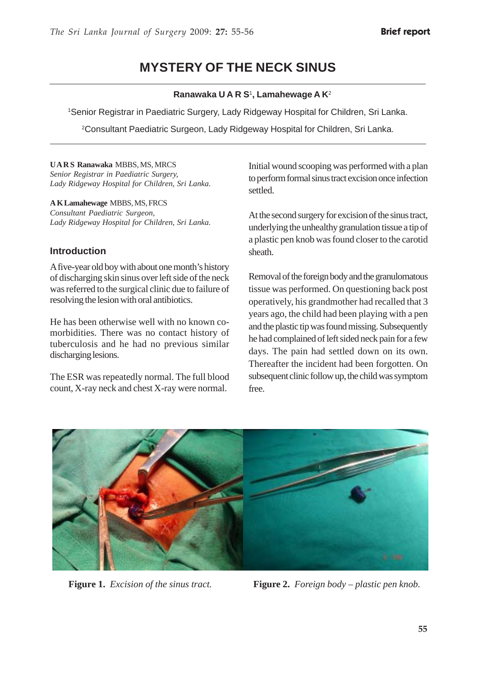# **MYSTERY OF THE NECK SINUS**

#### **Ranawaka U A R S**<sup>1</sup> **, Lamahewage A K**<sup>2</sup>

1Senior Registrar in Paediatric Surgery, Lady Ridgeway Hospital for Children, Sri Lanka.

2 Consultant Paediatric Surgeon, Lady Ridgeway Hospital for Children, Sri Lanka.

#### **U A R S Ranawaka** MBBS, MS, MRCS *Senior Registrar in Paediatric Surgery, Lady Ridgeway Hospital for Children, Sri Lanka.*

**A K Lamahewage** MBBS, MS, FRCS *Consultant Paediatric Surgeon, Lady Ridgeway Hospital for Children, Sri Lanka.*

#### **Introduction**

A five-year old boy with about one month's history of discharging skin sinus over left side of the neck was referred to the surgical clinic due to failure of resolving the lesion with oral antibiotics.

He has been otherwise well with no known comorbidities. There was no contact history of tuberculosis and he had no previous similar discharging lesions.

The ESR was repeatedly normal. The full blood count, X-ray neck and chest X-ray were normal.

Initial wound scooping was performed with a plan to perform formal sinus tract excision once infection settled.

At the second surgery for excision of the sinus tract, underlying the unhealthy granulation tissue a tip of a plastic pen knob was found closer to the carotid sheath.

Removal of the foreign body and the granulomatous tissue was performed. On questioning back post operatively, his grandmother had recalled that 3 years ago, the child had been playing with a pen and the plastic tip was found missing. Subsequently he had complained of left sided neck pain for a few days. The pain had settled down on its own. Thereafter the incident had been forgotten. On subsequent clinic follow up, the child was symptom free.



**Figure 1.** *Excision of the sinus tract.* **Figure 2.** *Foreign body – plastic pen knob.*